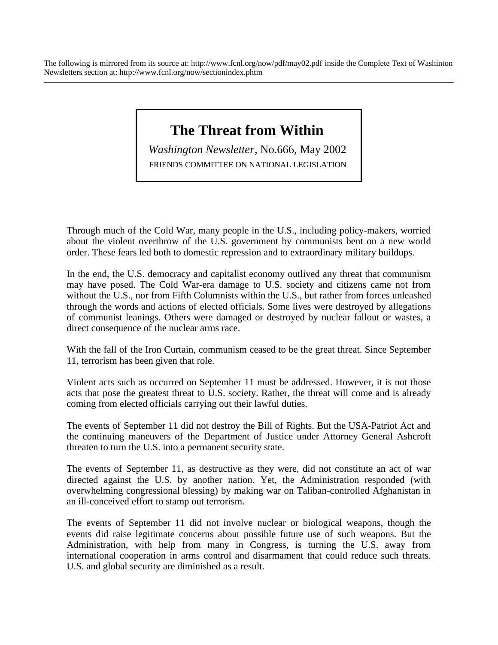The following is mirrored from its source at: http://www.fcnl.org/now/pdf/may02.pdf inside the Complete Text of Washinton Newsletters section at: http://www.fcnl.org/now/sectionindex.phtm

## **The Threat from Within**

*Washington Newsletter*, No.666, May 2002 FRIENDS COMMITTEE ON NATIONAL LEGISLATION

Through much of the Cold War, many people in the U.S., including policy-makers, worried about the violent overthrow of the U.S. government by communists bent on a new world order. These fears led both to domestic repression and to extraordinary military buildups.

In the end, the U.S. democracy and capitalist economy outlived any threat that communism may have posed. The Cold War-era damage to U.S. society and citizens came not from without the U.S., nor from Fifth Columnists within the U.S., but rather from forces unleashed through the words and actions of elected officials. Some lives were destroyed by allegations of communist leanings. Others were damaged or destroyed by nuclear fallout or wastes, a direct consequence of the nuclear arms race.

With the fall of the Iron Curtain, communism ceased to be the great threat. Since September 11, terrorism has been given that role.

Violent acts such as occurred on September 11 must be addressed. However, it is not those acts that pose the greatest threat to U.S. society. Rather, the threat will come and is already coming from elected officials carrying out their lawful duties.

The events of September 11 did not destroy the Bill of Rights. But the USA-Patriot Act and the continuing maneuvers of the Department of Justice under Attorney General Ashcroft threaten to turn the U.S. into a permanent security state.

The events of September 11, as destructive as they were, did not constitute an act of war directed against the U.S. by another nation. Yet, the Administration responded (with overwhelming congressional blessing) by making war on Taliban-controlled Afghanistan in an ill-conceived effort to stamp out terrorism.

The events of September 11 did not involve nuclear or biological weapons, though the events did raise legitimate concerns about possible future use of such weapons. But the Administration, with help from many in Congress, is turning the U.S. away from international cooperation in arms control and disarmament that could reduce such threats. U.S. and global security are diminished as a result.